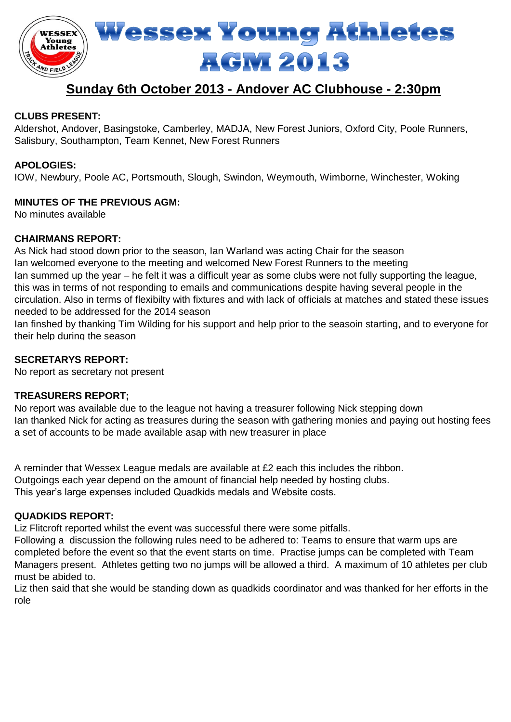

# **Sunday 6th October 2013 - Andover AC Clubhouse - 2:30pm**

## **CLUBS PRESENT:**

Aldershot, Andover, Basingstoke, Camberley, MADJA, New Forest Juniors, Oxford City, Poole Runners, Salisbury, Southampton, Team Kennet, New Forest Runners

## **APOLOGIES:**

IOW, Newbury, Poole AC, Portsmouth, Slough, Swindon, Weymouth, Wimborne, Winchester, Woking

## **MINUTES OF THE PREVIOUS AGM:**

No minutes available

## **CHAIRMANS REPORT:**

As Nick had stood down prior to the season, Ian Warland was acting Chair for the season Ian welcomed everyone to the meeting and welcomed New Forest Runners to the meeting Ian summed up the year – he felt it was a difficult year as some clubs were not fully supporting the league, this was in terms of not responding to emails and communications despite having several people in the circulation. Also in terms of flexibilty with fixtures and with lack of officials at matches and stated these issues needed to be addressed for the 2014 season

Ian finshed by thanking Tim Wilding for his support and help prior to the seasoin starting, and to everyone for their help during the season

## **SECRETARYS REPORT:**

No report as secretary not present

## **TREASURERS REPORT;**

No report was available due to the league not having a treasurer following Nick stepping down Ian thanked Nick for acting as treasures during the season with gathering monies and paying out hosting fees a set of accounts to be made available asap with new treasurer in place

A reminder that Wessex League medals are available at £2 each this includes the ribbon. Outgoings each year depend on the amount of financial help needed by hosting clubs. This year's large expenses included Quadkids medals and Website costs.

#### **QUADKIDS REPORT:**

Liz Flitcroft reported whilst the event was successful there were some pitfalls.

Following a discussion the following rules need to be adhered to: Teams to ensure that warm ups are completed before the event so that the event starts on time. Practise jumps can be completed with Team Managers present. Athletes getting two no jumps will be allowed a third. A maximum of 10 athletes per club must be abided to.

Liz then said that she would be standing down as quadkids coordinator and was thanked for her efforts in the role